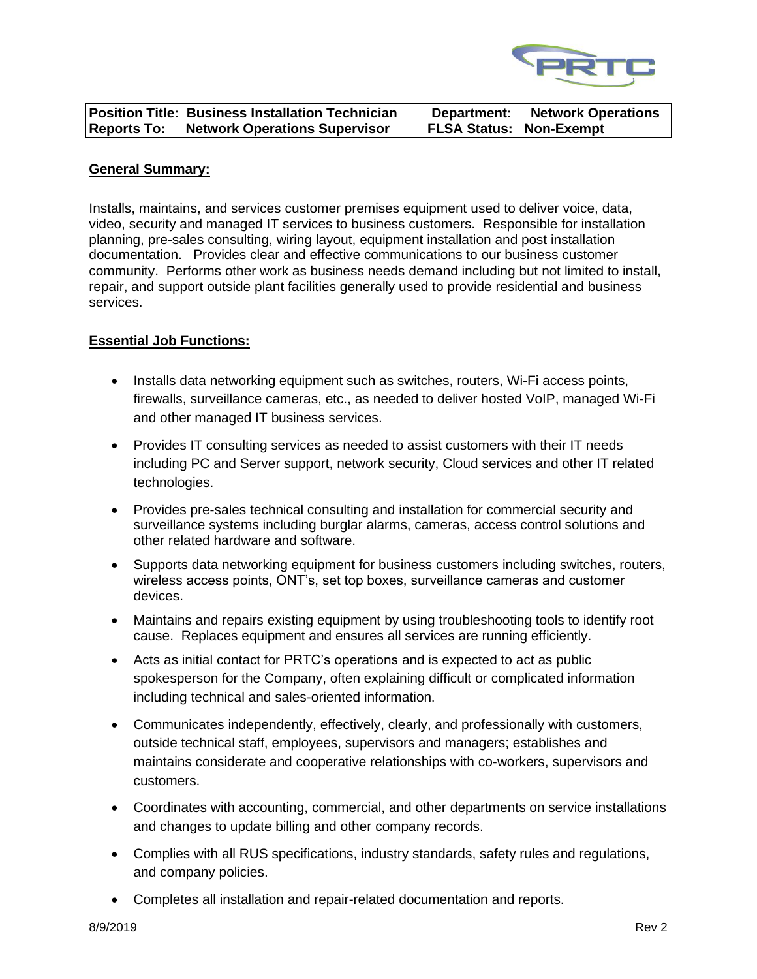

|                    | Position Title: Business Installation Technician | Department:                    | <b>Network Operations</b> |
|--------------------|--------------------------------------------------|--------------------------------|---------------------------|
| <b>Reports To:</b> | <b>Network Operations Supervisor</b>             | <b>FLSA Status: Non-Exempt</b> |                           |

## **General Summary:**

Installs, maintains, and services customer premises equipment used to deliver voice, data, video, security and managed IT services to business customers. Responsible for installation planning, pre-sales consulting, wiring layout, equipment installation and post installation documentation. Provides clear and effective communications to our business customer community. Performs other work as business needs demand including but not limited to install, repair, and support outside plant facilities generally used to provide residential and business services.

# **Essential Job Functions:**

- Installs data networking equipment such as switches, routers, Wi-Fi access points, firewalls, surveillance cameras, etc., as needed to deliver hosted VoIP, managed Wi-Fi and other managed IT business services.
- Provides IT consulting services as needed to assist customers with their IT needs including PC and Server support, network security, Cloud services and other IT related technologies.
- Provides pre-sales technical consulting and installation for commercial security and surveillance systems including burglar alarms, cameras, access control solutions and other related hardware and software.
- Supports data networking equipment for business customers including switches, routers, wireless access points, ONT's, set top boxes, surveillance cameras and customer devices.
- Maintains and repairs existing equipment by using troubleshooting tools to identify root cause. Replaces equipment and ensures all services are running efficiently.
- Acts as initial contact for PRTC's operations and is expected to act as public spokesperson for the Company, often explaining difficult or complicated information including technical and sales-oriented information.
- Communicates independently, effectively, clearly, and professionally with customers, outside technical staff, employees, supervisors and managers; establishes and maintains considerate and cooperative relationships with co-workers, supervisors and customers.
- Coordinates with accounting, commercial, and other departments on service installations and changes to update billing and other company records.
- Complies with all RUS specifications, industry standards, safety rules and regulations, and company policies.
- Completes all installation and repair-related documentation and reports.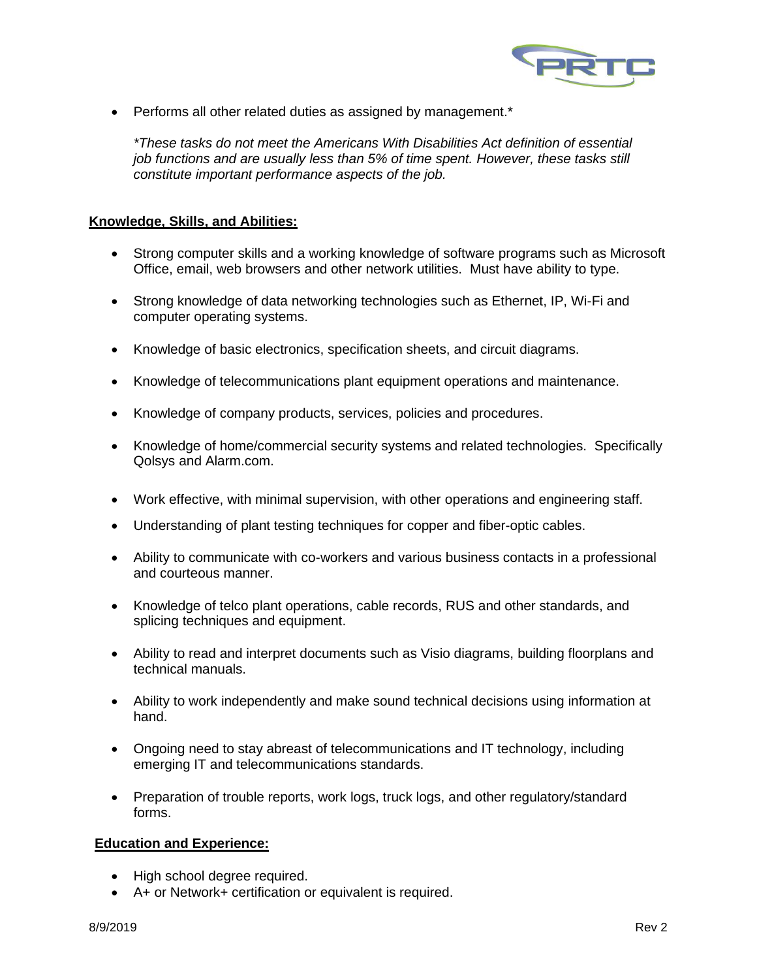

• Performs all other related duties as assigned by management.\*

*\*These tasks do not meet the Americans With Disabilities Act definition of essential job functions and are usually less than 5% of time spent. However, these tasks still constitute important performance aspects of the job.*

# **Knowledge, Skills, and Abilities:**

- Strong computer skills and a working knowledge of software programs such as Microsoft Office, email, web browsers and other network utilities. Must have ability to type.
- Strong knowledge of data networking technologies such as Ethernet, IP, Wi-Fi and computer operating systems.
- Knowledge of basic electronics, specification sheets, and circuit diagrams.
- Knowledge of telecommunications plant equipment operations and maintenance.
- Knowledge of company products, services, policies and procedures.
- Knowledge of home/commercial security systems and related technologies. Specifically Qolsys and Alarm.com.
- Work effective, with minimal supervision, with other operations and engineering staff.
- Understanding of plant testing techniques for copper and fiber-optic cables.
- Ability to communicate with co-workers and various business contacts in a professional and courteous manner.
- Knowledge of telco plant operations, cable records, RUS and other standards, and splicing techniques and equipment.
- Ability to read and interpret documents such as Visio diagrams, building floorplans and technical manuals.
- Ability to work independently and make sound technical decisions using information at hand.
- Ongoing need to stay abreast of telecommunications and IT technology, including emerging IT and telecommunications standards.
- Preparation of trouble reports, work logs, truck logs, and other regulatory/standard forms.

### **Education and Experience:**

- High school degree required.
- A+ or Network+ certification or equivalent is required.